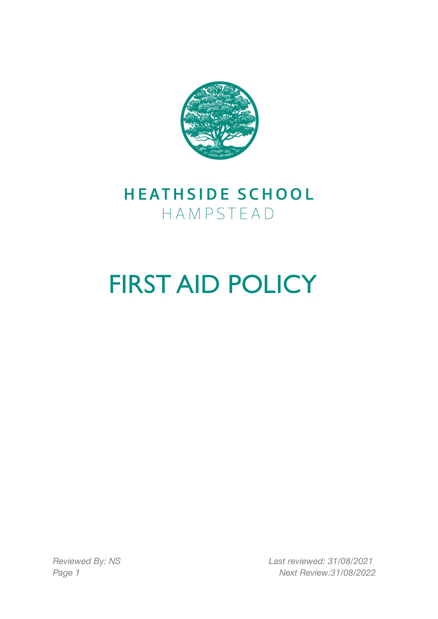

## HEATHSIDE SCHOOL HAMPSTEAD

# FIRST AID POLICY

*Reviewed By: NS Last reviewed: 31/08/2021 Page 1 Next Review:31/08/2022*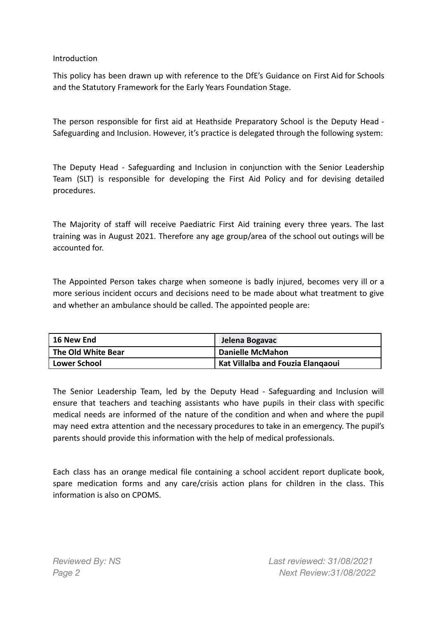#### **Introduction**

This policy has been drawn up with reference to the DfE's Guidance on First Aid for Schools and the Statutory Framework for the Early Years Foundation Stage.

The person responsible for first aid at Heathside Preparatory School is the Deputy Head - Safeguarding and Inclusion. However, it's practice is delegated through the following system:

The Deputy Head - Safeguarding and Inclusion in conjunction with the Senior Leadership Team (SLT) is responsible for developing the First Aid Policy and for devising detailed procedures.

The Majority of staff will receive Paediatric First Aid training every three years. The last training was in August 2021. Therefore any age group/area of the school out outings will be accounted for.

The Appointed Person takes charge when someone is badly injured, becomes very ill or a more serious incident occurs and decisions need to be made about what treatment to give and whether an ambulance should be called. The appointed people are:

| 16 New End         | Jelena Bogavac                    |
|--------------------|-----------------------------------|
| The Old White Bear | <b>Danielle McMahon</b>           |
| Lower School       | Kat Villalba and Fouzia Elangaoui |

The Senior Leadership Team, led by the Deputy Head - Safeguarding and Inclusion will ensure that teachers and teaching assistants who have pupils in their class with specific medical needs are informed of the nature of the condition and when and where the pupil may need extra attention and the necessary procedures to take in an emergency. The pupil's parents should provide this information with the help of medical professionals.

Each class has an orange medical file containing a school accident report duplicate book, spare medication forms and any care/crisis action plans for children in the class. This information is also on CPOMS.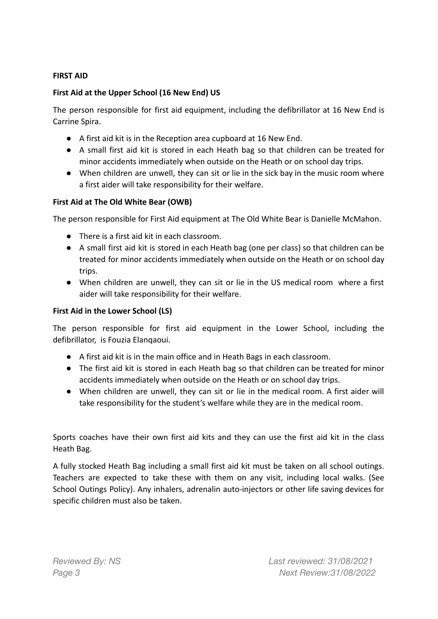#### **FIRST AID**

#### **First Aid at the Upper School (16 New End) US**

The person responsible for first aid equipment, including the defibrillator at 16 New End is Carrine Spira.

- A first aid kit is in the Reception area cupboard at 16 New End.
- A small first aid kit is stored in each Heath bag so that children can be treated for minor accidents immediately when outside on the Heath or on school day trips.
- When children are unwell, they can sit or lie in the sick bay in the music room where a first aider will take responsibility for their welfare.

#### **First Aid at The Old White Bear (OWB)**

The person responsible for First Aid equipment at The Old White Bear is Danielle McMahon.

- There is a first aid kit in each classroom.
- A small first aid kit is stored in each Heath bag (one per class) so that children can be treated for minor accidents immediately when outside on the Heath or on school day trips.
- When children are unwell, they can sit or lie in the US medical room where a first aider will take responsibility for their welfare.

#### **First Aid in the Lower School (LS)**

The person responsible for first aid equipment in the Lower School, including the defibrillator, is Fouzia Elanqaoui.

- A first aid kit is in the main office and in Heath Bags in each classroom.
- The first aid kit is stored in each Heath bag so that children can be treated for minor accidents immediately when outside on the Heath or on school day trips.
- When children are unwell, they can sit or lie in the medical room. A first aider will take responsibility for the student's welfare while they are in the medical room.

Sports coaches have their own first aid kits and they can use the first aid kit in the class Heath Bag.

A fully stocked Heath Bag including a small first aid kit must be taken on all school outings. Teachers are expected to take these with them on any visit, including local walks. (See School Outings Policy). Any inhalers, adrenalin auto-injectors or other life saving devices for specific children must also be taken.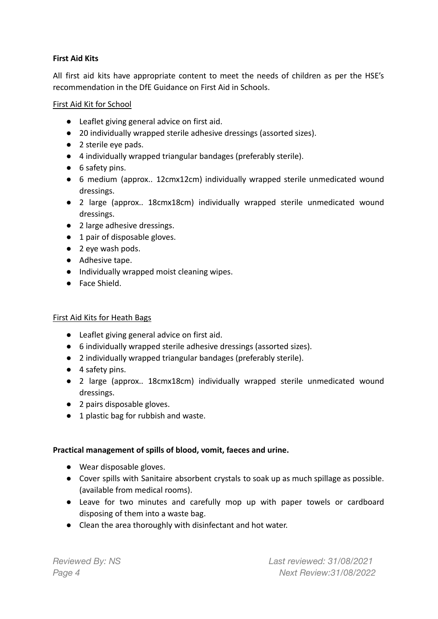#### **First Aid Kits**

All first aid kits have appropriate content to meet the needs of children as per the HSE's recommendation in the DfE Guidance on First Aid in Schools.

#### First Aid Kit for School

- Leaflet giving general advice on first aid.
- 20 individually wrapped sterile adhesive dressings (assorted sizes).
- 2 sterile eve pads.
- 4 individually wrapped triangular bandages (preferably sterile).
- 6 safety pins.
- 6 medium (approx.. 12cmx12cm) individually wrapped sterile unmedicated wound dressings.
- 2 large (approx.. 18cmx18cm) individually wrapped sterile unmedicated wound dressings.
- 2 large adhesive dressings.
- 1 pair of disposable gloves.
- 2 eye wash pods.
- Adhesive tape.
- Individually wrapped moist cleaning wipes.
- Face Shield.

#### First Aid Kits for Heath Bags

- Leaflet giving general advice on first aid.
- 6 individually wrapped sterile adhesive dressings (assorted sizes).
- 2 individually wrapped triangular bandages (preferably sterile).
- 4 safety pins.
- 2 large (approx.. 18cmx18cm) individually wrapped sterile unmedicated wound dressings.
- 2 pairs disposable gloves.
- 1 plastic bag for rubbish and waste.

#### **Practical management of spills of blood, vomit, faeces and urine.**

- **●** Wear disposable gloves.
- **●** Cover spills with Sanitaire absorbent crystals to soak up as much spillage as possible. (available from medical rooms).
- **●** Leave for two minutes and carefully mop up with paper towels or cardboard disposing of them into a waste bag.
- **●** Clean the area thoroughly with disinfectant and hot water.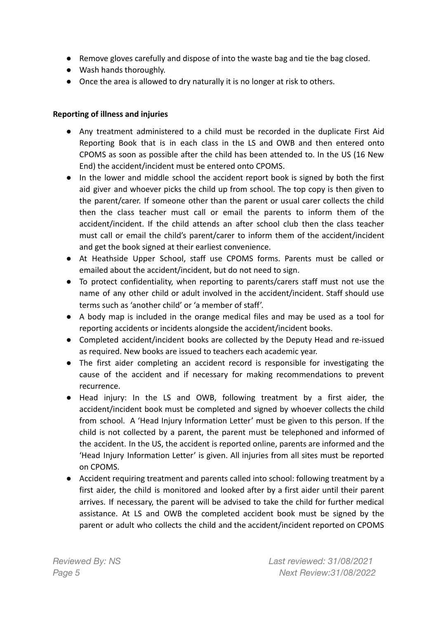- **●** Remove gloves carefully and dispose of into the waste bag and tie the bag closed.
- **●** Wash hands thoroughly.
- Once the area is allowed to dry naturally it is no longer at risk to others.

#### **Reporting of illness and injuries**

- **●** Any treatment administered to a child must be recorded in the duplicate First Aid Reporting Book that is in each class in the LS and OWB and then entered onto CPOMS as soon as possible after the child has been attended to. In the US (16 New End) the accident/incident must be entered onto CPOMS.
- **●** In the lower and middle school the accident report book is signed by both the first aid giver and whoever picks the child up from school. The top copy is then given to the parent/carer. If someone other than the parent or usual carer collects the child then the class teacher must call or email the parents to inform them of the accident/incident. If the child attends an after school club then the class teacher must call or email the child's parent/carer to inform them of the accident/incident and get the book signed at their earliest convenience.
- **●** At Heathside Upper School, staff use CPOMS forms. Parents must be called or emailed about the accident/incident, but do not need to sign.
- **●** To protect confidentiality, when reporting to parents/carers staff must not use the name of any other child or adult involved in the accident/incident. Staff should use terms such as 'another child' or 'a member of staff'.
- **●** A body map is included in the orange medical files and may be used as a tool for reporting accidents or incidents alongside the accident/incident books.
- **●** Completed accident/incident books are collected by the Deputy Head and re-issued as required. New books are issued to teachers each academic year.
- **●** The first aider completing an accident record is responsible for investigating the cause of the accident and if necessary for making recommendations to prevent recurrence.
- Head injury: In the LS and OWB, following treatment by a first aider, the accident/incident book must be completed and signed by whoever collects the child from school. A 'Head Injury Information Letter' must be given to this person. If the child is not collected by a parent, the parent must be telephoned and informed of the accident. In the US, the accident is reported online, parents are informed and the 'Head Injury Information Letter' is given. All injuries from all sites must be reported on CPOMS.
- Accident requiring treatment and parents called into school: following treatment by a first aider, the child is monitored and looked after by a first aider until their parent arrives. If necessary, the parent will be advised to take the child for further medical assistance. At LS and OWB the completed accident book must be signed by the parent or adult who collects the child and the accident/incident reported on CPOMS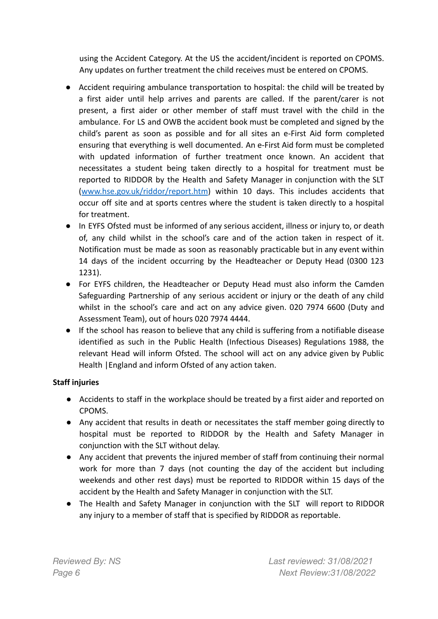using the Accident Category. At the US the accident/incident is reported on CPOMS. Any updates on further treatment the child receives must be entered on CPOMS.

- Accident requiring ambulance transportation to hospital: the child will be treated by a first aider until help arrives and parents are called. If the parent/carer is not present, a first aider or other member of staff must travel with the child in the ambulance. For LS and OWB the accident book must be completed and signed by the child's parent as soon as possible and for all sites an e-First Aid form completed ensuring that everything is well documented. An e-First Aid form must be completed with updated information of further treatment once known. An accident that necessitates a student being taken directly to a hospital for treatment must be reported to RIDDOR by the Health and Safety Manager in conjunction with the SLT ([www.hse.gov.uk/riddor/report.htm](http://www.hse.gov.uk/riddor/report.htm)) within 10 days. This includes accidents that occur off site and at sports centres where the student is taken directly to a hospital for treatment.
- In EYFS Ofsted must be informed of any serious accident, illness or injury to, or death of, any child whilst in the school's care and of the action taken in respect of it. Notification must be made as soon as reasonably practicable but in any event within 14 days of the incident occurring by the Headteacher or Deputy Head (0300 123 1231).
- For EYFS children, the Headteacher or Deputy Head must also inform the Camden Safeguarding Partnership of any serious accident or injury or the death of any child whilst in the school's care and act on any advice given. 020 7974 6600 (Duty and Assessment Team), out of hours 020 7974 4444.
- If the school has reason to believe that any child is suffering from a notifiable disease identified as such in the Public Health (Infectious Diseases) Regulations 1988, the relevant Head will inform Ofsted. The school will act on any advice given by Public Health |England and inform Ofsted of any action taken.

#### **Staff injuries**

- Accidents to staff in the workplace should be treated by a first aider and reported on CPOMS.
- Any accident that results in death or necessitates the staff member going directly to hospital must be reported to RIDDOR by the Health and Safety Manager in conjunction with the SLT without delay.
- Any accident that prevents the injured member of staff from continuing their normal work for more than 7 days (not counting the day of the accident but including weekends and other rest days) must be reported to RIDDOR within 15 days of the accident by the Health and Safety Manager in conjunction with the SLT.
- The Health and Safety Manager in conjunction with the SLT will report to RIDDOR any injury to a member of staff that is specified by RIDDOR as reportable.